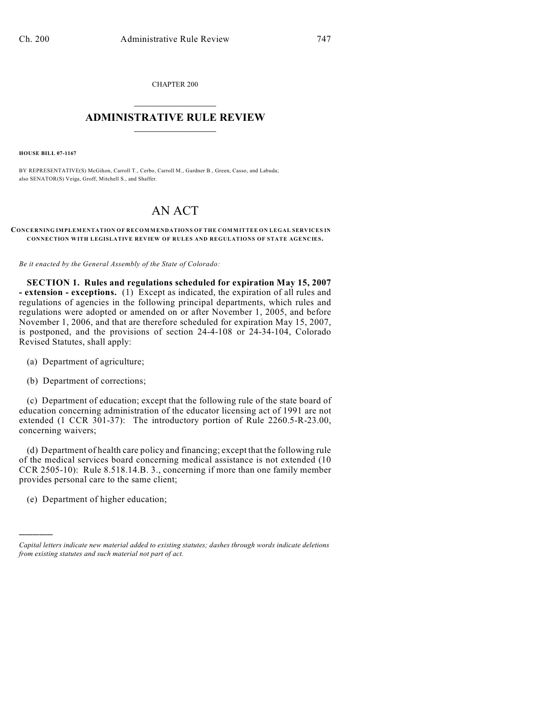CHAPTER 200  $\mathcal{L}_\text{max}$  . The set of the set of the set of the set of the set of the set of the set of the set of the set of the set of the set of the set of the set of the set of the set of the set of the set of the set of the set

## **ADMINISTRATIVE RULE REVIEW**  $\_$

**HOUSE BILL 07-1167**

BY REPRESENTATIVE(S) McGihon, Carroll T., Cerbo, Carroll M., Gardner B., Green, Casso, and Labuda; also SENATOR(S) Veiga, Groff, Mitchell S., and Shaffer.

## AN ACT

## **CONCERNING IMPLEMENTATION OF RECOMMENDATIONS OF THE COMMITTEE ON LEGAL SERVICES IN CONNECTION WITH LEGISLATIVE REVIEW OF RULES AND REGULATIONS OF STATE AGENCIES.**

*Be it enacted by the General Assembly of the State of Colorado:*

**SECTION 1. Rules and regulations scheduled for expiration May 15, 2007 - extension - exceptions.** (1) Except as indicated, the expiration of all rules and regulations of agencies in the following principal departments, which rules and regulations were adopted or amended on or after November 1, 2005, and before November 1, 2006, and that are therefore scheduled for expiration May 15, 2007, is postponed, and the provisions of section 24-4-108 or 24-34-104, Colorado Revised Statutes, shall apply:

- (a) Department of agriculture;
- (b) Department of corrections;

(c) Department of education; except that the following rule of the state board of education concerning administration of the educator licensing act of 1991 are not extended (1 CCR 301-37): The introductory portion of Rule 2260.5-R-23.00, concerning waivers;

(d) Department of health care policy and financing; except that the following rule of the medical services board concerning medical assistance is not extended (10 CCR 2505-10): Rule 8.518.14.B. 3., concerning if more than one family member provides personal care to the same client;

(e) Department of higher education;

)))))

*Capital letters indicate new material added to existing statutes; dashes through words indicate deletions from existing statutes and such material not part of act.*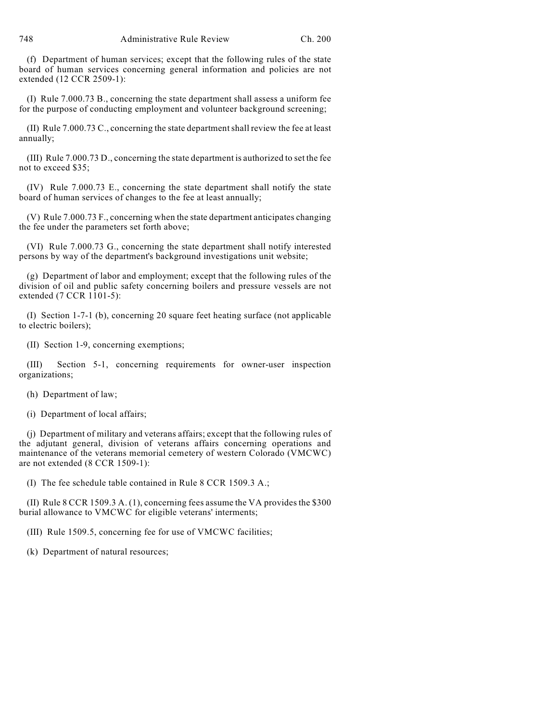(f) Department of human services; except that the following rules of the state board of human services concerning general information and policies are not extended (12 CCR 2509-1):

(I) Rule 7.000.73 B., concerning the state department shall assess a uniform fee for the purpose of conducting employment and volunteer background screening;

(II) Rule 7.000.73 C., concerning the state departmentshall review the fee at least annually;

(III) Rule 7.000.73 D., concerning the state department is authorized to set the fee not to exceed \$35;

(IV) Rule 7.000.73 E., concerning the state department shall notify the state board of human services of changes to the fee at least annually;

(V) Rule 7.000.73 F., concerning when the state department anticipates changing the fee under the parameters set forth above;

(VI) Rule 7.000.73 G., concerning the state department shall notify interested persons by way of the department's background investigations unit website;

(g) Department of labor and employment; except that the following rules of the division of oil and public safety concerning boilers and pressure vessels are not extended (7 CCR 1101-5):

(I) Section 1-7-1 (b), concerning 20 square feet heating surface (not applicable to electric boilers);

(II) Section 1-9, concerning exemptions;

(III) Section 5-1, concerning requirements for owner-user inspection organizations;

(h) Department of law;

(i) Department of local affairs;

(j) Department of military and veterans affairs; except that the following rules of the adjutant general, division of veterans affairs concerning operations and maintenance of the veterans memorial cemetery of western Colorado (VMCWC) are not extended (8 CCR 1509-1):

(I) The fee schedule table contained in Rule 8 CCR 1509.3 A.;

(II) Rule 8 CCR 1509.3 A. (1), concerning fees assume the VA provides the \$300 burial allowance to VMCWC for eligible veterans' interments;

(III) Rule 1509.5, concerning fee for use of VMCWC facilities;

(k) Department of natural resources;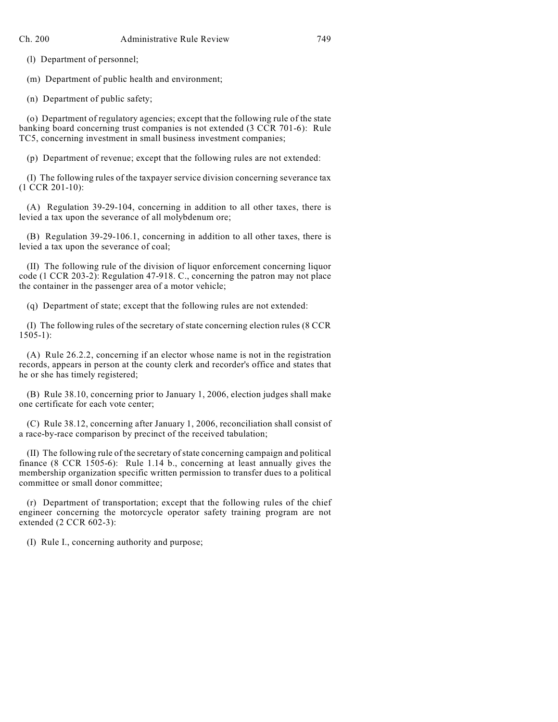(l) Department of personnel;

(m) Department of public health and environment;

(n) Department of public safety;

(o) Department of regulatory agencies; except that the following rule of the state banking board concerning trust companies is not extended (3 CCR 701-6): Rule TC5, concerning investment in small business investment companies;

(p) Department of revenue; except that the following rules are not extended:

(I) The following rules of the taxpayer service division concerning severance tax (1 CCR 201-10):

(A) Regulation 39-29-104, concerning in addition to all other taxes, there is levied a tax upon the severance of all molybdenum ore;

(B) Regulation 39-29-106.1, concerning in addition to all other taxes, there is levied a tax upon the severance of coal;

(II) The following rule of the division of liquor enforcement concerning liquor code (1 CCR 203-2): Regulation 47-918. C., concerning the patron may not place the container in the passenger area of a motor vehicle;

(q) Department of state; except that the following rules are not extended:

(I) The following rules of the secretary of state concerning election rules (8 CCR 1505-1):

(A) Rule 26.2.2, concerning if an elector whose name is not in the registration records, appears in person at the county clerk and recorder's office and states that he or she has timely registered;

(B) Rule 38.10, concerning prior to January 1, 2006, election judges shall make one certificate for each vote center;

(C) Rule 38.12, concerning after January 1, 2006, reconciliation shall consist of a race-by-race comparison by precinct of the received tabulation;

(II) The following rule of the secretary ofstate concerning campaign and political finance (8 CCR 1505-6): Rule 1.14 b., concerning at least annually gives the membership organization specific written permission to transfer dues to a political committee or small donor committee;

(r) Department of transportation; except that the following rules of the chief engineer concerning the motorcycle operator safety training program are not extended (2 CCR 602-3):

(I) Rule I., concerning authority and purpose;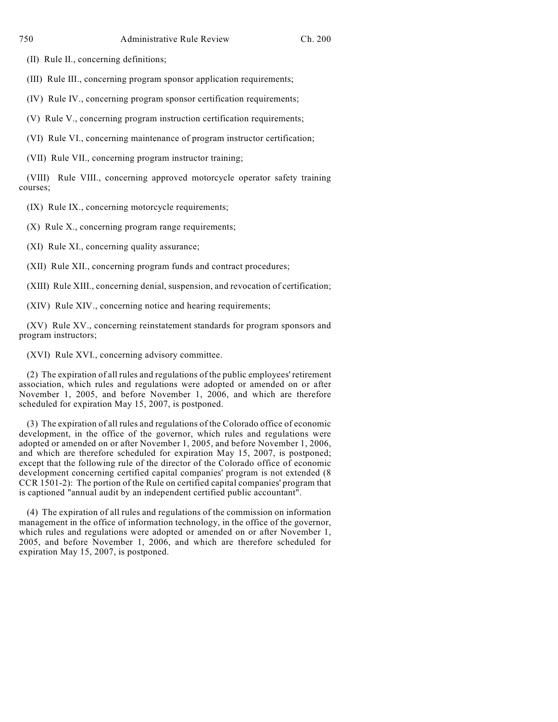(II) Rule II., concerning definitions;

(III) Rule III., concerning program sponsor application requirements;

(IV) Rule IV., concerning program sponsor certification requirements;

(V) Rule V., concerning program instruction certification requirements;

(VI) Rule VI., concerning maintenance of program instructor certification;

(VII) Rule VII., concerning program instructor training;

(VIII) Rule VIII., concerning approved motorcycle operator safety training courses;

(IX) Rule IX., concerning motorcycle requirements;

(X) Rule X., concerning program range requirements;

(XI) Rule XI., concerning quality assurance;

(XII) Rule XII., concerning program funds and contract procedures;

(XIII) Rule XIII., concerning denial, suspension, and revocation of certification;

(XIV) Rule XIV., concerning notice and hearing requirements;

(XV) Rule XV., concerning reinstatement standards for program sponsors and program instructors;

(XVI) Rule XVI., concerning advisory committee.

(2) The expiration of all rules and regulations of the public employees' retirement association, which rules and regulations were adopted or amended on or after November 1, 2005, and before November 1, 2006, and which are therefore scheduled for expiration May 15, 2007, is postponed.

(3) The expiration of all rules and regulations of the Colorado office of economic development, in the office of the governor, which rules and regulations were adopted or amended on or after November 1, 2005, and before November 1, 2006, and which are therefore scheduled for expiration May 15, 2007, is postponed; except that the following rule of the director of the Colorado office of economic development concerning certified capital companies' program is not extended (8 CCR 1501-2): The portion of the Rule on certified capital companies' program that is captioned "annual audit by an independent certified public accountant".

(4) The expiration of all rules and regulations of the commission on information management in the office of information technology, in the office of the governor, which rules and regulations were adopted or amended on or after November 1, 2005, and before November 1, 2006, and which are therefore scheduled for expiration May 15, 2007, is postponed.